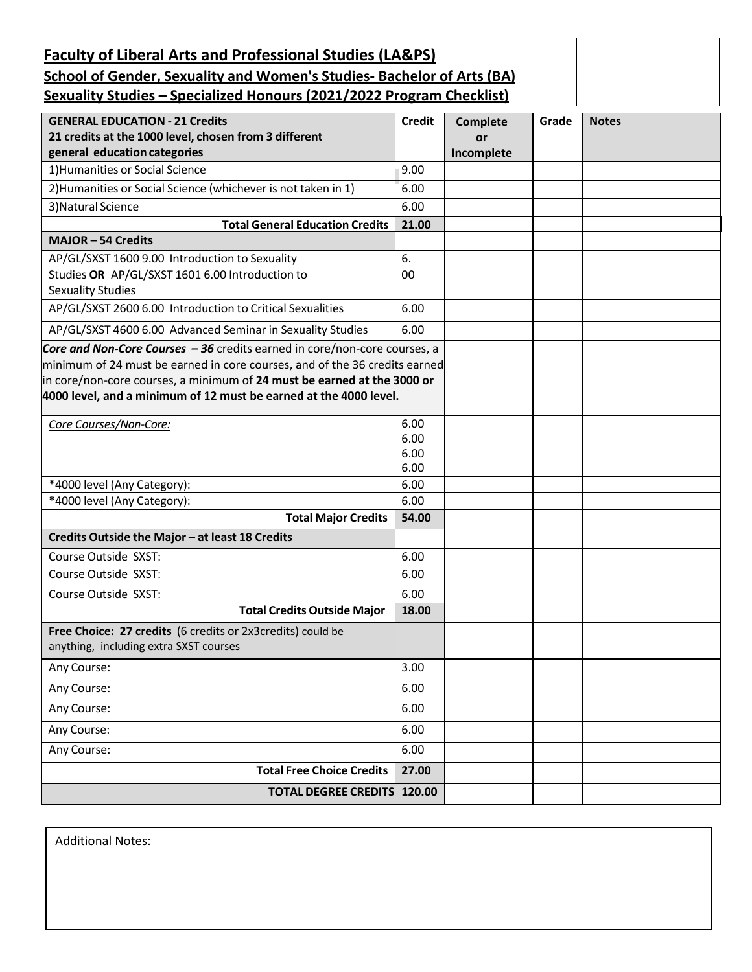# **Faculty of Liberal Arts and Professional Studies (LA&PS) School of Gender, Sexuality and Women's Studies- Bachelor of Arts (BA) Sexuality Studies – Specialized Honours (2021/2022 Program Checklist)**

| <b>GENERAL EDUCATION - 21 Credits</b>                                                                                                                 | <b>Credit</b> | <b>Complete</b> | Grade | <b>Notes</b> |
|-------------------------------------------------------------------------------------------------------------------------------------------------------|---------------|-----------------|-------|--------------|
| 21 credits at the 1000 level, chosen from 3 different                                                                                                 |               | or              |       |              |
| general education categories                                                                                                                          |               | Incomplete      |       |              |
| 1) Humanities or Social Science                                                                                                                       | 9.00          |                 |       |              |
| 2) Humanities or Social Science (whichever is not taken in 1)                                                                                         | 6.00          |                 |       |              |
| 3) Natural Science                                                                                                                                    | 6.00          |                 |       |              |
| <b>Total General Education Credits</b>                                                                                                                | 21.00         |                 |       |              |
| <b>MAJOR-54 Credits</b>                                                                                                                               |               |                 |       |              |
| AP/GL/SXST 1600 9.00 Introduction to Sexuality                                                                                                        | 6.            |                 |       |              |
| Studies OR AP/GL/SXST 1601 6.00 Introduction to<br><b>Sexuality Studies</b>                                                                           | 00            |                 |       |              |
| AP/GL/SXST 2600 6.00 Introduction to Critical Sexualities                                                                                             | 6.00          |                 |       |              |
|                                                                                                                                                       |               |                 |       |              |
| AP/GL/SXST 4600 6.00 Advanced Seminar in Sexuality Studies                                                                                            | 6.00          |                 |       |              |
| Core and Non-Core Courses - 36 credits earned in core/non-core courses, a                                                                             |               |                 |       |              |
| minimum of 24 must be earned in core courses, and of the 36 credits earned<br>in core/non-core courses, a minimum of 24 must be earned at the 3000 or |               |                 |       |              |
| 4000 level, and a minimum of 12 must be earned at the 4000 level.                                                                                     |               |                 |       |              |
|                                                                                                                                                       |               |                 |       |              |
| Core Courses/Non-Core:                                                                                                                                | 6.00          |                 |       |              |
|                                                                                                                                                       | 6.00          |                 |       |              |
|                                                                                                                                                       | 6.00          |                 |       |              |
|                                                                                                                                                       | 6.00          |                 |       |              |
| *4000 level (Any Category):<br>*4000 level (Any Category):                                                                                            | 6.00<br>6.00  |                 |       |              |
|                                                                                                                                                       | 54.00         |                 |       |              |
| <b>Total Major Credits</b>                                                                                                                            |               |                 |       |              |
| Credits Outside the Major - at least 18 Credits                                                                                                       |               |                 |       |              |
| Course Outside SXST:                                                                                                                                  | 6.00          |                 |       |              |
| Course Outside SXST:                                                                                                                                  | 6.00          |                 |       |              |
| Course Outside SXST:                                                                                                                                  | 6.00          |                 |       |              |
| <b>Total Credits Outside Major</b>                                                                                                                    | 18.00         |                 |       |              |
| Free Choice: 27 credits (6 credits or 2x3credits) could be                                                                                            |               |                 |       |              |
| anything, including extra SXST courses                                                                                                                |               |                 |       |              |
| Any Course:                                                                                                                                           | 3.00          |                 |       |              |
| Any Course:                                                                                                                                           | 6.00          |                 |       |              |
| Any Course:                                                                                                                                           | 6.00          |                 |       |              |
| Any Course:                                                                                                                                           | 6.00          |                 |       |              |
| Any Course:                                                                                                                                           | 6.00          |                 |       |              |
| <b>Total Free Choice Credits</b>                                                                                                                      | 27.00         |                 |       |              |
| <b>TOTAL DEGREE CREDITS</b><br>120.00                                                                                                                 |               |                 |       |              |

Additional Notes: